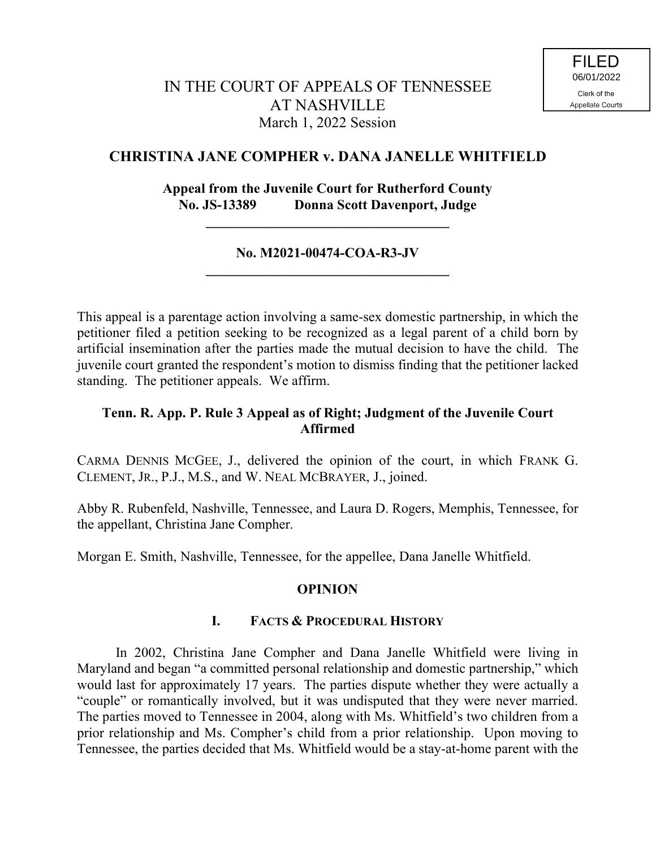# **CHRISTINA JANE COMPHER v. DANA JANELLE WHITFIELD**

# **Appeal from the Juvenile Court for Rutherford County No. JS-13389 Donna Scott Davenport, Judge**

**\_\_\_\_\_\_\_\_\_\_\_\_\_\_\_\_\_\_\_\_\_\_\_\_\_\_\_\_\_\_\_\_\_\_\_**

## **No. M2021-00474-COA-R3-JV \_\_\_\_\_\_\_\_\_\_\_\_\_\_\_\_\_\_\_\_\_\_\_\_\_\_\_\_\_\_\_\_\_\_\_**

This appeal is a parentage action involving a same-sex domestic partnership, in which the petitioner filed a petition seeking to be recognized as a legal parent of a child born by artificial insemination after the parties made the mutual decision to have the child. The juvenile court granted the respondent's motion to dismiss finding that the petitioner lacked standing. The petitioner appeals. We affirm.

# **Tenn. R. App. P. Rule 3 Appeal as of Right; Judgment of the Juvenile Court Affirmed**

CARMA DENNIS MCGEE, J., delivered the opinion of the court, in which FRANK G. CLEMENT, JR., P.J., M.S., and W. NEAL MCBRAYER, J., joined.

Abby R. Rubenfeld, Nashville, Tennessee, and Laura D. Rogers, Memphis, Tennessee, for the appellant, Christina Jane Compher.

Morgan E. Smith, Nashville, Tennessee, for the appellee, Dana Janelle Whitfield.

# **OPINION**

## **I. FACTS & PROCEDURAL HISTORY**

In 2002, Christina Jane Compher and Dana Janelle Whitfield were living in Maryland and began "a committed personal relationship and domestic partnership," which would last for approximately 17 years. The parties dispute whether they were actually a "couple" or romantically involved, but it was undisputed that they were never married. The parties moved to Tennessee in 2004, along with Ms. Whitfield's two children from a prior relationship and Ms. Compher's child from a prior relationship. Upon moving to Tennessee, the parties decided that Ms. Whitfield would be a stay-at-home parent with the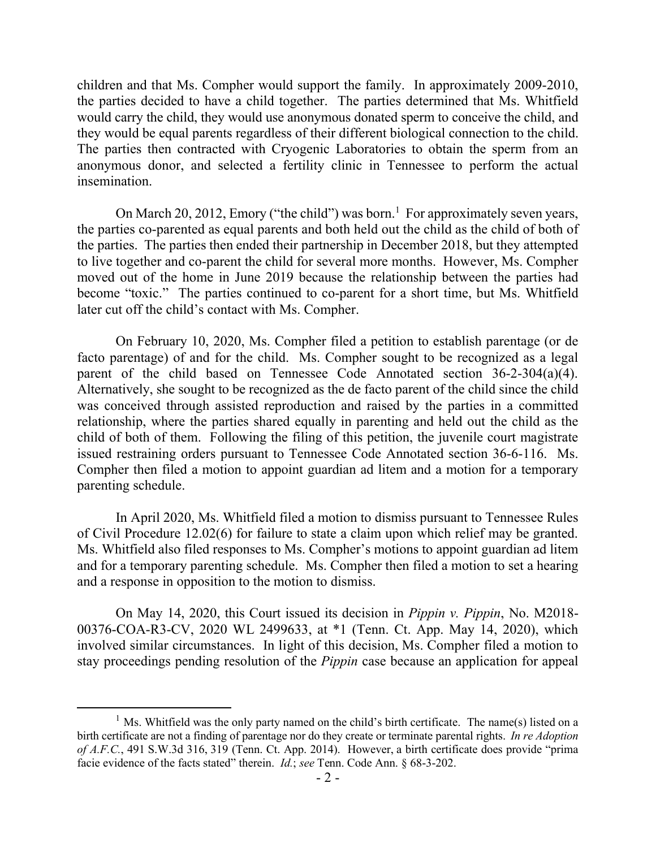children and that Ms. Compher would support the family. In approximately 2009-2010, the parties decided to have a child together. The parties determined that Ms. Whitfield would carry the child, they would use anonymous donated sperm to conceive the child, and they would be equal parents regardless of their different biological connection to the child. The parties then contracted with Cryogenic Laboratories to obtain the sperm from an anonymous donor, and selected a fertility clinic in Tennessee to perform the actual insemination.

On March 20, 2012, Emory ("the child") was born.<sup>1</sup> For approximately seven years, the parties co-parented as equal parents and both held out the child as the child of both of the parties. The parties then ended their partnership in December 2018, but they attempted to live together and co-parent the child for several more months. However, Ms. Compher moved out of the home in June 2019 because the relationship between the parties had become "toxic." The parties continued to co-parent for a short time, but Ms. Whitfield later cut off the child's contact with Ms. Compher.

On February 10, 2020, Ms. Compher filed a petition to establish parentage (or de facto parentage) of and for the child. Ms. Compher sought to be recognized as a legal parent of the child based on Tennessee Code Annotated section 36-2-304(a)(4). Alternatively, she sought to be recognized as the de facto parent of the child since the child was conceived through assisted reproduction and raised by the parties in a committed relationship, where the parties shared equally in parenting and held out the child as the child of both of them. Following the filing of this petition, the juvenile court magistrate issued restraining orders pursuant to Tennessee Code Annotated section 36-6-116. Ms. Compher then filed a motion to appoint guardian ad litem and a motion for a temporary parenting schedule.

In April 2020, Ms. Whitfield filed a motion to dismiss pursuant to Tennessee Rules of Civil Procedure 12.02(6) for failure to state a claim upon which relief may be granted. Ms. Whitfield also filed responses to Ms. Compher's motions to appoint guardian ad litem and for a temporary parenting schedule. Ms. Compher then filed a motion to set a hearing and a response in opposition to the motion to dismiss.

On May 14, 2020, this Court issued its decision in *Pippin v. Pippin*, No. M2018- 00376-COA-R3-CV, 2020 WL 2499633, at \*1 (Tenn. Ct. App. May 14, 2020), which involved similar circumstances. In light of this decision, Ms. Compher filed a motion to stay proceedings pending resolution of the *Pippin* case because an application for appeal

<sup>&</sup>lt;sup>1</sup> Ms. Whitfield was the only party named on the child's birth certificate. The name(s) listed on a birth certificate are not a finding of parentage nor do they create or terminate parental rights. *In re Adoption of A.F.C.*, 491 S.W.3d 316, 319 (Tenn. Ct. App. 2014). However, a birth certificate does provide "prima facie evidence of the facts stated" therein. *Id.*; *see* Tenn. Code Ann. § 68-3-202.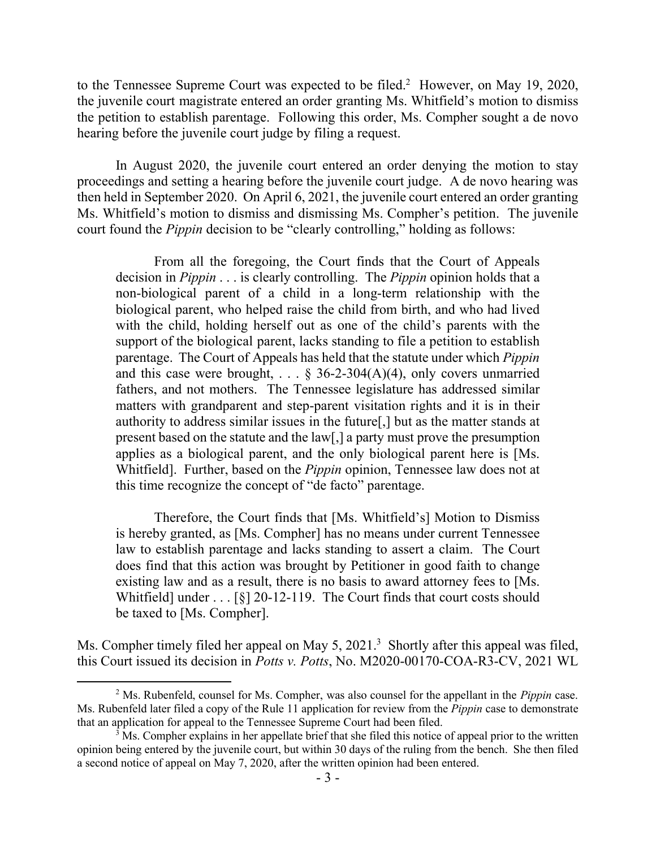to the Tennessee Supreme Court was expected to be filed.<sup>2</sup> However, on May 19, 2020, the juvenile court magistrate entered an order granting Ms. Whitfield's motion to dismiss the petition to establish parentage. Following this order, Ms. Compher sought a de novo hearing before the juvenile court judge by filing a request.

In August 2020, the juvenile court entered an order denying the motion to stay proceedings and setting a hearing before the juvenile court judge. A de novo hearing was then held in September 2020. On April 6, 2021, the juvenile court entered an order granting Ms. Whitfield's motion to dismiss and dismissing Ms. Compher's petition. The juvenile court found the *Pippin* decision to be "clearly controlling," holding as follows:

From all the foregoing, the Court finds that the Court of Appeals decision in *Pippin* . . . is clearly controlling. The *Pippin* opinion holds that a non-biological parent of a child in a long-term relationship with the biological parent, who helped raise the child from birth, and who had lived with the child, holding herself out as one of the child's parents with the support of the biological parent, lacks standing to file a petition to establish parentage. The Court of Appeals has held that the statute under which *Pippin* and this case were brought,  $\ldots$  § 36-2-304(A)(4), only covers unmarried fathers, and not mothers. The Tennessee legislature has addressed similar matters with grandparent and step-parent visitation rights and it is in their authority to address similar issues in the future[,] but as the matter stands at present based on the statute and the law[,] a party must prove the presumption applies as a biological parent, and the only biological parent here is [Ms. Whitfield]. Further, based on the *Pippin* opinion, Tennessee law does not at this time recognize the concept of "de facto" parentage.

Therefore, the Court finds that [Ms. Whitfield's] Motion to Dismiss is hereby granted, as [Ms. Compher] has no means under current Tennessee law to establish parentage and lacks standing to assert a claim. The Court does find that this action was brought by Petitioner in good faith to change existing law and as a result, there is no basis to award attorney fees to [Ms. Whitfield] under . . . [§] 20-12-119. The Court finds that court costs should be taxed to [Ms. Compher].

Ms. Compher timely filed her appeal on May 5, 2021.<sup>3</sup> Shortly after this appeal was filed, this Court issued its decision in *Potts v. Potts*, No. M2020-00170-COA-R3-CV, 2021 WL

<sup>2</sup> Ms. Rubenfeld, counsel for Ms. Compher, was also counsel for the appellant in the *Pippin* case. Ms. Rubenfeld later filed a copy of the Rule 11 application for review from the *Pippin* case to demonstrate that an application for appeal to the Tennessee Supreme Court had been filed.

Ms. Compher explains in her appellate brief that she filed this notice of appeal prior to the written opinion being entered by the juvenile court, but within 30 days of the ruling from the bench. She then filed a second notice of appeal on May 7, 2020, after the written opinion had been entered.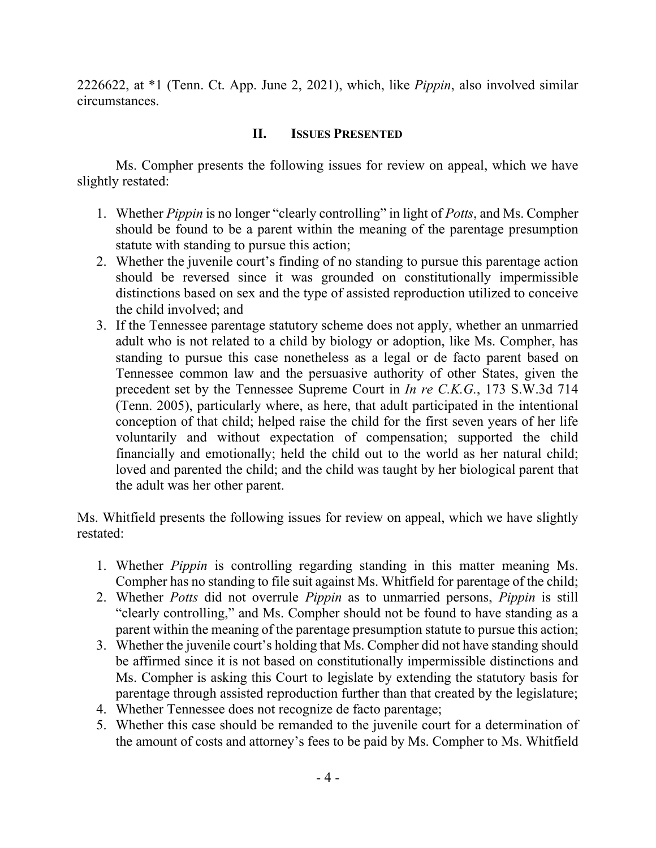2226622, at \*1 (Tenn. Ct. App. June 2, 2021), which, like *Pippin*, also involved similar circumstances.

## **II. ISSUES PRESENTED**

Ms. Compher presents the following issues for review on appeal, which we have slightly restated:

- 1. Whether *Pippin* is no longer "clearly controlling" in light of *Potts*, and Ms. Compher should be found to be a parent within the meaning of the parentage presumption statute with standing to pursue this action;
- 2. Whether the juvenile court's finding of no standing to pursue this parentage action should be reversed since it was grounded on constitutionally impermissible distinctions based on sex and the type of assisted reproduction utilized to conceive the child involved; and
- 3. If the Tennessee parentage statutory scheme does not apply, whether an unmarried adult who is not related to a child by biology or adoption, like Ms. Compher, has standing to pursue this case nonetheless as a legal or de facto parent based on Tennessee common law and the persuasive authority of other States, given the precedent set by the Tennessee Supreme Court in *In re C.K.G.*, 173 S.W.3d 714 (Tenn. 2005), particularly where, as here, that adult participated in the intentional conception of that child; helped raise the child for the first seven years of her life voluntarily and without expectation of compensation; supported the child financially and emotionally; held the child out to the world as her natural child; loved and parented the child; and the child was taught by her biological parent that the adult was her other parent.

Ms. Whitfield presents the following issues for review on appeal, which we have slightly restated:

- 1. Whether *Pippin* is controlling regarding standing in this matter meaning Ms. Compher has no standing to file suit against Ms. Whitfield for parentage of the child;
- 2. Whether *Potts* did not overrule *Pippin* as to unmarried persons, *Pippin* is still "clearly controlling," and Ms. Compher should not be found to have standing as a parent within the meaning of the parentage presumption statute to pursue this action;
- 3. Whether the juvenile court's holding that Ms. Compher did not have standing should be affirmed since it is not based on constitutionally impermissible distinctions and Ms. Compher is asking this Court to legislate by extending the statutory basis for parentage through assisted reproduction further than that created by the legislature;
- 4. Whether Tennessee does not recognize de facto parentage;
- 5. Whether this case should be remanded to the juvenile court for a determination of the amount of costs and attorney's fees to be paid by Ms. Compher to Ms. Whitfield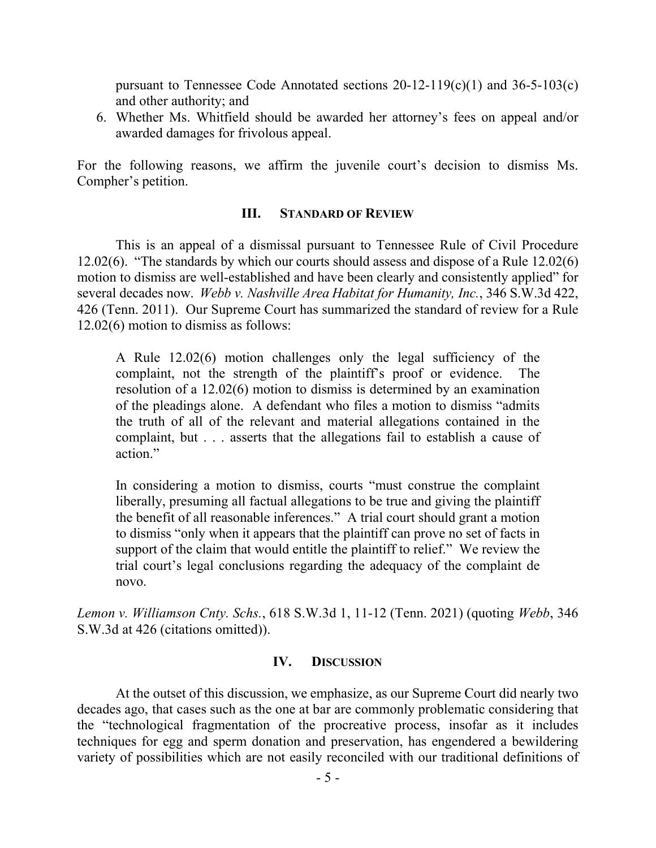pursuant to Tennessee Code Annotated sections  $20-12-119(c)(1)$  and  $36-5-103(c)$ and other authority; and

6. Whether Ms. Whitfield should be awarded her attorney's fees on appeal and/or awarded damages for frivolous appeal.

For the following reasons, we affirm the juvenile court's decision to dismiss Ms. Compher's petition.

### **III. STANDARD OF REVIEW**

This is an appeal of a dismissal pursuant to Tennessee Rule of Civil Procedure 12.02(6). "The standards by which our courts should assess and dispose of a Rule 12.02(6) motion to dismiss are well-established and have been clearly and consistently applied" for several decades now. *Webb v. Nashville Area Habitat for Humanity, Inc.*, 346 S.W.3d 422, 426 (Tenn. 2011). Our Supreme Court has summarized the standard of review for a Rule 12.02(6) motion to dismiss as follows:

A Rule 12.02(6) motion challenges only the legal sufficiency of the complaint, not the strength of the plaintiff's proof or evidence. The resolution of a 12.02(6) motion to dismiss is determined by an examination of the pleadings alone. A defendant who files a motion to dismiss "admits the truth of all of the relevant and material allegations contained in the complaint, but . . . asserts that the allegations fail to establish a cause of action."

In considering a motion to dismiss, courts "must construe the complaint liberally, presuming all factual allegations to be true and giving the plaintiff the benefit of all reasonable inferences." A trial court should grant a motion to dismiss "only when it appears that the plaintiff can prove no set of facts in support of the claim that would entitle the plaintiff to relief." We review the trial court's legal conclusions regarding the adequacy of the complaint de novo.

*Lemon v. Williamson Cnty. Schs.*, 618 S.W.3d 1, 11-12 (Tenn. 2021) (quoting *Webb*, 346 S.W.3d at 426 (citations omitted)).

### **IV. DISCUSSION**

At the outset of this discussion, we emphasize, as our Supreme Court did nearly two decades ago, that cases such as the one at bar are commonly problematic considering that the "technological fragmentation of the procreative process, insofar as it includes techniques for egg and sperm donation and preservation, has engendered a bewildering variety of possibilities which are not easily reconciled with our traditional definitions of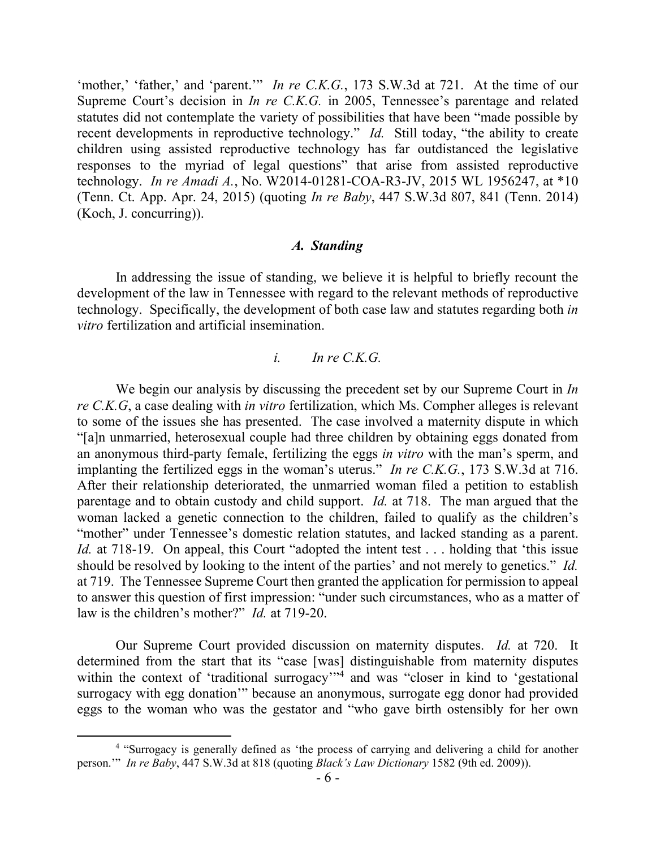'mother,' 'father,' and 'parent.'" *In re C.K.G.*, 173 S.W.3d at 721. At the time of our Supreme Court's decision in *In re C.K.G.* in 2005, Tennessee's parentage and related statutes did not contemplate the variety of possibilities that have been "made possible by recent developments in reproductive technology." *Id.* Still today, "the ability to create children using assisted reproductive technology has far outdistanced the legislative responses to the myriad of legal questions" that arise from assisted reproductive technology. *In re Amadi A.*, No. W2014-01281-COA-R3-JV, 2015 WL 1956247, at \*10 (Tenn. Ct. App. Apr. 24, 2015) (quoting *In re Baby*, 447 S.W.3d 807, 841 (Tenn. 2014) (Koch, J. concurring)).

### *A. Standing*

In addressing the issue of standing, we believe it is helpful to briefly recount the development of the law in Tennessee with regard to the relevant methods of reproductive technology. Specifically, the development of both case law and statutes regarding both *in vitro* fertilization and artificial insemination.

#### *i. In re C.K.G.*

We begin our analysis by discussing the precedent set by our Supreme Court in *In re C.K.G*, a case dealing with *in vitro* fertilization, which Ms. Compher alleges is relevant to some of the issues she has presented. The case involved a maternity dispute in which "[a]n unmarried, heterosexual couple had three children by obtaining eggs donated from an anonymous third-party female, fertilizing the eggs *in vitro* with the man's sperm, and implanting the fertilized eggs in the woman's uterus." *In re C.K.G.*, 173 S.W.3d at 716. After their relationship deteriorated, the unmarried woman filed a petition to establish parentage and to obtain custody and child support. *Id.* at 718. The man argued that the woman lacked a genetic connection to the children, failed to qualify as the children's "mother" under Tennessee's domestic relation statutes, and lacked standing as a parent. *Id.* at 718-19. On appeal, this Court "adopted the intent test . . . holding that 'this issue should be resolved by looking to the intent of the parties' and not merely to genetics." *Id.* at 719. The Tennessee Supreme Court then granted the application for permission to appeal to answer this question of first impression: "under such circumstances, who as a matter of law is the children's mother?" *Id.* at 719-20.

Our Supreme Court provided discussion on maternity disputes. *Id.* at 720. It determined from the start that its "case [was] distinguishable from maternity disputes within the context of 'traditional surrogacy'<sup>14</sup> and was "closer in kind to 'gestational surrogacy with egg donation'" because an anonymous, surrogate egg donor had provided eggs to the woman who was the gestator and "who gave birth ostensibly for her own

<sup>&</sup>lt;sup>4</sup> "Surrogacy is generally defined as 'the process of carrying and delivering a child for another person.'" *In re Baby*, 447 S.W.3d at 818 (quoting *Black's Law Dictionary* 1582 (9th ed. 2009)).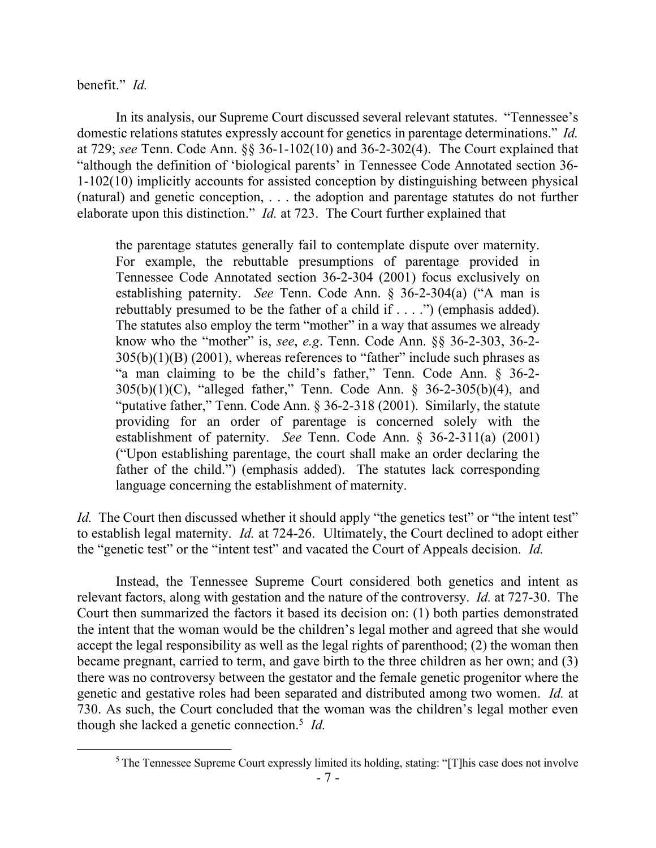### benefit." *Id.*

 $\overline{a}$ 

In its analysis, our Supreme Court discussed several relevant statutes. "Tennessee's domestic relations statutes expressly account for genetics in parentage determinations." *Id.* at 729; *see* Tenn. Code Ann. §§ 36-1-102(10) and 36-2-302(4). The Court explained that "although the definition of 'biological parents' in Tennessee Code Annotated section 36- 1-102(10) implicitly accounts for assisted conception by distinguishing between physical (natural) and genetic conception, . . . the adoption and parentage statutes do not further elaborate upon this distinction." *Id.* at 723. The Court further explained that

the parentage statutes generally fail to contemplate dispute over maternity. For example, the rebuttable presumptions of parentage provided in Tennessee Code Annotated section 36-2-304 (2001) focus exclusively on establishing paternity. *See* Tenn. Code Ann. § 36-2-304(a) ("A man is rebuttably presumed to be the father of a child if . . . .") (emphasis added). The statutes also employ the term "mother" in a way that assumes we already know who the "mother" is, *see*, *e.g*. Tenn. Code Ann. §§ 36-2-303, 36-2-  $305(b)(1)(B)$  (2001), whereas references to "father" include such phrases as "a man claiming to be the child's father," Tenn. Code Ann. § 36-2- 305(b)(1)(C), "alleged father," Tenn. Code Ann. § 36-2-305(b)(4), and "putative father," Tenn. Code Ann. § 36-2-318 (2001). Similarly, the statute providing for an order of parentage is concerned solely with the establishment of paternity. *See* Tenn. Code Ann. § 36-2-311(a) (2001) ("Upon establishing parentage, the court shall make an order declaring the father of the child.") (emphasis added). The statutes lack corresponding language concerning the establishment of maternity.

*Id.* The Court then discussed whether it should apply "the genetics test" or "the intent test" to establish legal maternity. *Id.* at 724-26. Ultimately, the Court declined to adopt either the "genetic test" or the "intent test" and vacated the Court of Appeals decision. *Id.*

Instead, the Tennessee Supreme Court considered both genetics and intent as relevant factors, along with gestation and the nature of the controversy. *Id.* at 727-30. The Court then summarized the factors it based its decision on: (1) both parties demonstrated the intent that the woman would be the children's legal mother and agreed that she would accept the legal responsibility as well as the legal rights of parenthood; (2) the woman then became pregnant, carried to term, and gave birth to the three children as her own; and (3) there was no controversy between the gestator and the female genetic progenitor where the genetic and gestative roles had been separated and distributed among two women. *Id.* at 730. As such, the Court concluded that the woman was the children's legal mother even though she lacked a genetic connection.<sup>5</sup> *Id.*

<sup>&</sup>lt;sup>5</sup> The Tennessee Supreme Court expressly limited its holding, stating: "[T]his case does not involve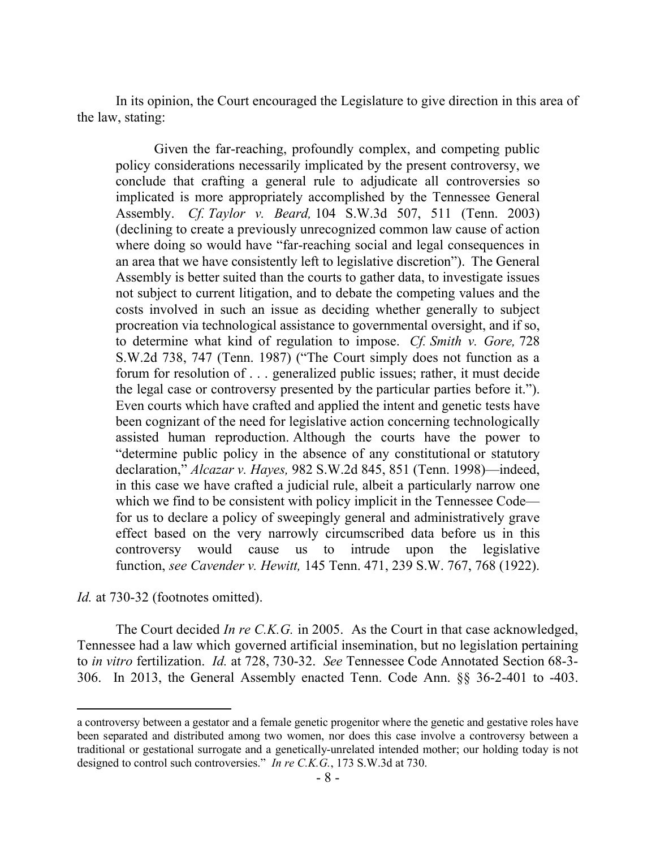In its opinion, the Court encouraged the Legislature to give direction in this area of the law, stating:

Given the far-reaching, profoundly complex, and competing public policy considerations necessarily implicated by the present controversy, we conclude that crafting a general rule to adjudicate all controversies so implicated is more appropriately accomplished by the Tennessee General Assembly. *Cf. Taylor v. Beard,* 104 S.W.3d 507, 511 (Tenn. 2003) (declining to create a previously unrecognized common law cause of action where doing so would have "far-reaching social and legal consequences in an area that we have consistently left to legislative discretion"). The General Assembly is better suited than the courts to gather data, to investigate issues not subject to current litigation, and to debate the competing values and the costs involved in such an issue as deciding whether generally to subject procreation via technological assistance to governmental oversight, and if so, to determine what kind of regulation to impose. *Cf. Smith v. Gore,* 728 S.W.2d 738, 747 (Tenn. 1987) ("The Court simply does not function as a forum for resolution of . . . generalized public issues; rather, it must decide the legal case or controversy presented by the particular parties before it."). Even courts which have crafted and applied the intent and genetic tests have been cognizant of the need for legislative action concerning technologically assisted human reproduction. Although the courts have the power to "determine public policy in the absence of any constitutional or statutory declaration," *Alcazar v. Hayes,* 982 S.W.2d 845, 851 (Tenn. 1998)—indeed, in this case we have crafted a judicial rule, albeit a particularly narrow one which we find to be consistent with policy implicit in the Tennessee Code for us to declare a policy of sweepingly general and administratively grave effect based on the very narrowly circumscribed data before us in this controversy would cause us to intrude upon the legislative function, *see Cavender v. Hewitt,* 145 Tenn. 471, 239 S.W. 767, 768 (1922).

*Id.* at 730-32 (footnotes omitted).

The Court decided *In re C.K.G.* in 2005. As the Court in that case acknowledged, Tennessee had a law which governed artificial insemination, but no legislation pertaining to *in vitro* fertilization. *Id.* at 728, 730-32. *See* Tennessee Code Annotated Section 68-3- 306. In 2013, the General Assembly enacted Tenn. Code Ann. §§ 36-2-401 to -403.

a controversy between a gestator and a female genetic progenitor where the genetic and gestative roles have been separated and distributed among two women, nor does this case involve a controversy between a traditional or gestational surrogate and a genetically-unrelated intended mother; our holding today is not designed to control such controversies." *In re C.K.G.*, 173 S.W.3d at 730.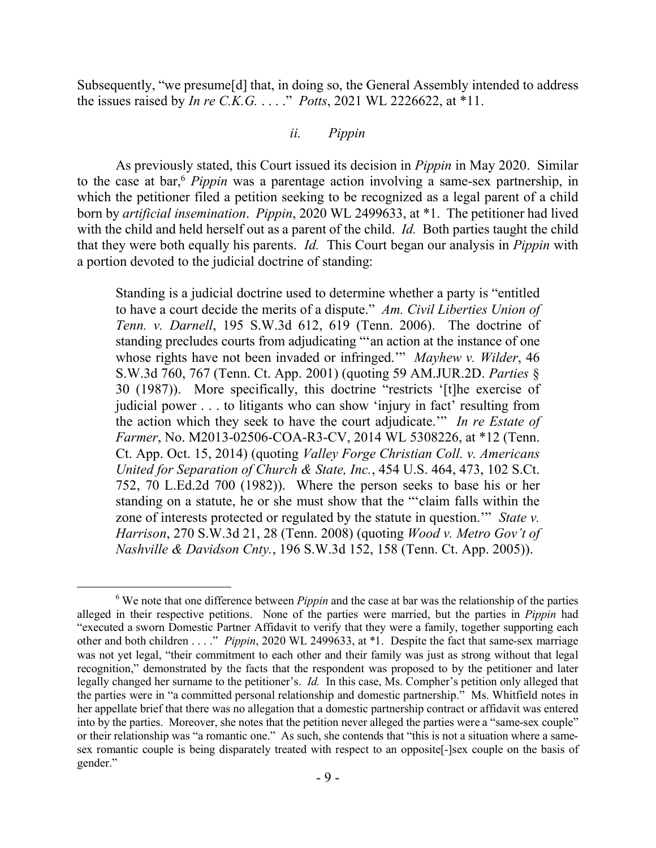Subsequently, "we presume[d] that, in doing so, the General Assembly intended to address the issues raised by *In re C.K.G.* . . . ." *Potts*, 2021 WL 2226622, at \*11.

#### *ii. Pippin*

As previously stated, this Court issued its decision in *Pippin* in May 2020. Similar to the case at bar,<sup>6</sup> *Pippin* was a parentage action involving a same-sex partnership, in which the petitioner filed a petition seeking to be recognized as a legal parent of a child born by *artificial insemination*. *Pippin*, 2020 WL 2499633, at \*1. The petitioner had lived with the child and held herself out as a parent of the child. *Id.* Both parties taught the child that they were both equally his parents. *Id.* This Court began our analysis in *Pippin* with a portion devoted to the judicial doctrine of standing:

Standing is a judicial doctrine used to determine whether a party is "entitled to have a court decide the merits of a dispute." *Am. Civil Liberties Union of Tenn. v. Darnell*, 195 S.W.3d 612, 619 (Tenn. 2006). The doctrine of standing precludes courts from adjudicating "'an action at the instance of one whose rights have not been invaded or infringed.'" *Mayhew v. Wilder*, 46 S.W.3d 760, 767 (Tenn. Ct. App. 2001) (quoting 59 AM.JUR.2D. *Parties* § 30 (1987)). More specifically, this doctrine "restricts '[t]he exercise of judicial power . . . to litigants who can show 'injury in fact' resulting from the action which they seek to have the court adjudicate.'" *In re Estate of Farmer*, No. M2013-02506-COA-R3-CV, 2014 WL 5308226, at \*12 (Tenn. Ct. App. Oct. 15, 2014) (quoting *Valley Forge Christian Coll. v. Americans United for Separation of Church & State, Inc.*, 454 U.S. 464, 473, 102 S.Ct. 752, 70 L.Ed.2d 700 (1982)). Where the person seeks to base his or her standing on a statute, he or she must show that the "'claim falls within the zone of interests protected or regulated by the statute in question.'" *State v. Harrison*, 270 S.W.3d 21, 28 (Tenn. 2008) (quoting *Wood v. Metro Gov't of Nashville & Davidson Cnty.*, 196 S.W.3d 152, 158 (Tenn. Ct. App. 2005)).

<sup>6</sup> We note that one difference between *Pippin* and the case at bar was the relationship of the parties alleged in their respective petitions. None of the parties were married, but the parties in *Pippin* had "executed a sworn Domestic Partner Affidavit to verify that they were a family, together supporting each other and both children . . . ." *Pippin*, 2020 WL 2499633, at \*1. Despite the fact that same-sex marriage was not yet legal, "their commitment to each other and their family was just as strong without that legal recognition," demonstrated by the facts that the respondent was proposed to by the petitioner and later legally changed her surname to the petitioner's. *Id.* In this case, Ms. Compher's petition only alleged that the parties were in "a committed personal relationship and domestic partnership." Ms. Whitfield notes in her appellate brief that there was no allegation that a domestic partnership contract or affidavit was entered into by the parties. Moreover, she notes that the petition never alleged the parties were a "same-sex couple" or their relationship was "a romantic one." As such, she contends that "this is not a situation where a samesex romantic couple is being disparately treated with respect to an opposite[-]sex couple on the basis of gender."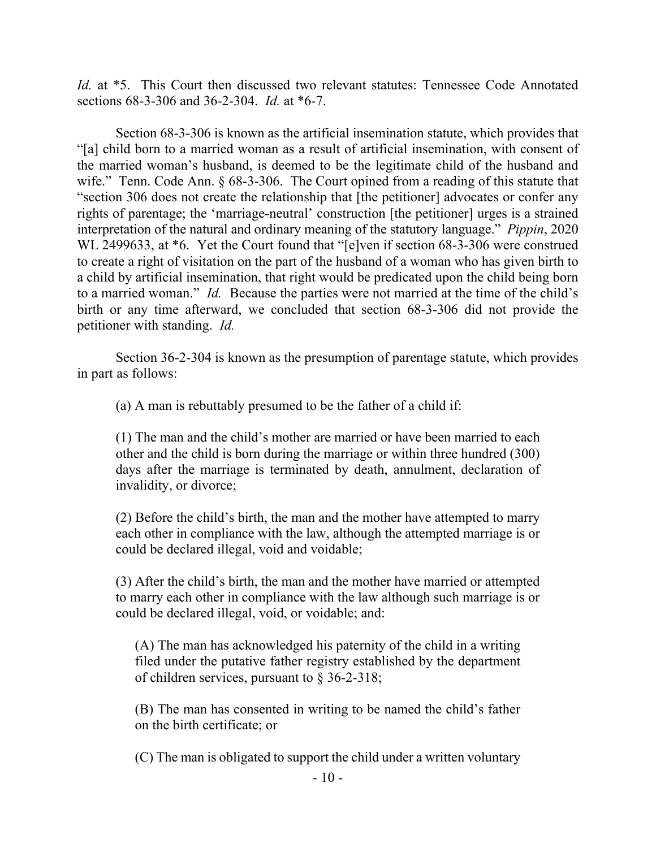*Id.* at \*5. This Court then discussed two relevant statutes: Tennessee Code Annotated sections 68-3-306 and 36-2-304. *Id.* at \*6-7.

Section 68-3-306 is known as the artificial insemination statute, which provides that "[a] child born to a married woman as a result of artificial insemination, with consent of the married woman's husband, is deemed to be the legitimate child of the husband and wife." Tenn. Code Ann. § 68-3-306. The Court opined from a reading of this statute that "section 306 does not create the relationship that [the petitioner] advocates or confer any rights of parentage; the 'marriage-neutral' construction [the petitioner] urges is a strained interpretation of the natural and ordinary meaning of the statutory language." *Pippin*, 2020 WL 2499633, at \*6. Yet the Court found that "[e]ven if section 68-3-306 were construed to create a right of visitation on the part of the husband of a woman who has given birth to a child by artificial insemination, that right would be predicated upon the child being born to a married woman." *Id.* Because the parties were not married at the time of the child's birth or any time afterward, we concluded that section 68-3-306 did not provide the petitioner with standing. *Id.*

Section 36-2-304 is known as the presumption of parentage statute, which provides in part as follows:

(a) A man is rebuttably presumed to be the father of a child if:

(1) The man and the child's mother are married or have been married to each other and the child is born during the marriage or within three hundred (300) days after the marriage is terminated by death, annulment, declaration of invalidity, or divorce;

(2) Before the child's birth, the man and the mother have attempted to marry each other in compliance with the law, although the attempted marriage is or could be declared illegal, void and voidable;

(3) After the child's birth, the man and the mother have married or attempted to marry each other in compliance with the law although such marriage is or could be declared illegal, void, or voidable; and:

(A) The man has acknowledged his paternity of the child in a writing filed under the putative father registry established by the department of children services, pursuant to § 36-2-318;

(B) The man has consented in writing to be named the child's father on the birth certificate; or

(C) The man is obligated to support the child under a written voluntary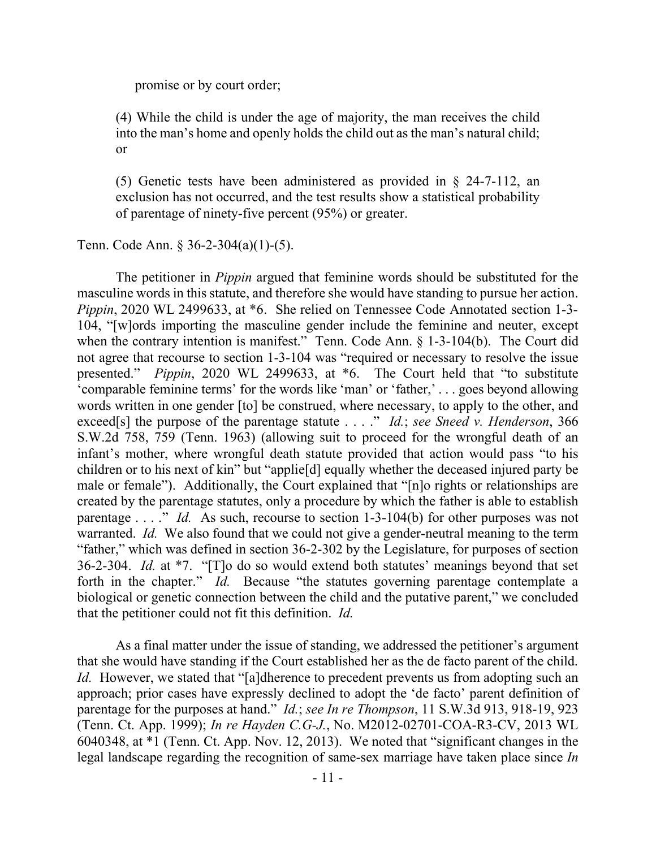promise or by court order;

(4) While the child is under the age of majority, the man receives the child into the man's home and openly holds the child out as the man's natural child; or

(5) Genetic tests have been administered as provided in § 24-7-112, an exclusion has not occurred, and the test results show a statistical probability of parentage of ninety-five percent (95%) or greater.

Tenn. Code Ann. § 36-2-304(a)(1)-(5).

The petitioner in *Pippin* argued that feminine words should be substituted for the masculine words in this statute, and therefore she would have standing to pursue her action. *Pippin*, 2020 WL 2499633, at \*6. She relied on Tennessee Code Annotated section 1-3- 104, "[w]ords importing the masculine gender include the feminine and neuter, except when the contrary intention is manifest." Tenn. Code Ann. § 1-3-104(b). The Court did not agree that recourse to section 1-3-104 was "required or necessary to resolve the issue presented." *Pippin*, 2020 WL 2499633, at \*6. The Court held that "to substitute 'comparable feminine terms' for the words like 'man' or 'father,' . . . goes beyond allowing words written in one gender [to] be construed, where necessary, to apply to the other, and exceed[s] the purpose of the parentage statute . . . ." *Id.*; *see Sneed v. Henderson*, 366 S.W.2d 758, 759 (Tenn. 1963) (allowing suit to proceed for the wrongful death of an infant's mother, where wrongful death statute provided that action would pass "to his children or to his next of kin" but "applie[d] equally whether the deceased injured party be male or female"). Additionally, the Court explained that "[n]o rights or relationships are created by the parentage statutes, only a procedure by which the father is able to establish parentage . . . ." *Id.* As such, recourse to section 1-3-104(b) for other purposes was not warranted. *Id.* We also found that we could not give a gender-neutral meaning to the term "father," which was defined in section 36-2-302 by the Legislature, for purposes of section 36-2-304. *Id.* at \*7. "[T]o do so would extend both statutes' meanings beyond that set forth in the chapter." *Id.* Because "the statutes governing parentage contemplate a biological or genetic connection between the child and the putative parent," we concluded that the petitioner could not fit this definition. *Id.*

As a final matter under the issue of standing, we addressed the petitioner's argument that she would have standing if the Court established her as the de facto parent of the child. *Id.* However, we stated that "[a]dherence to precedent prevents us from adopting such an approach; prior cases have expressly declined to adopt the 'de facto' parent definition of parentage for the purposes at hand." *Id.*; *see In re Thompson*, 11 S.W.3d 913, 918-19, 923 (Tenn. Ct. App. 1999); *In re Hayden C.G-J.*, No. M2012-02701-COA-R3-CV, 2013 WL 6040348, at \*1 (Tenn. Ct. App. Nov. 12, 2013). We noted that "significant changes in the legal landscape regarding the recognition of same-sex marriage have taken place since *In*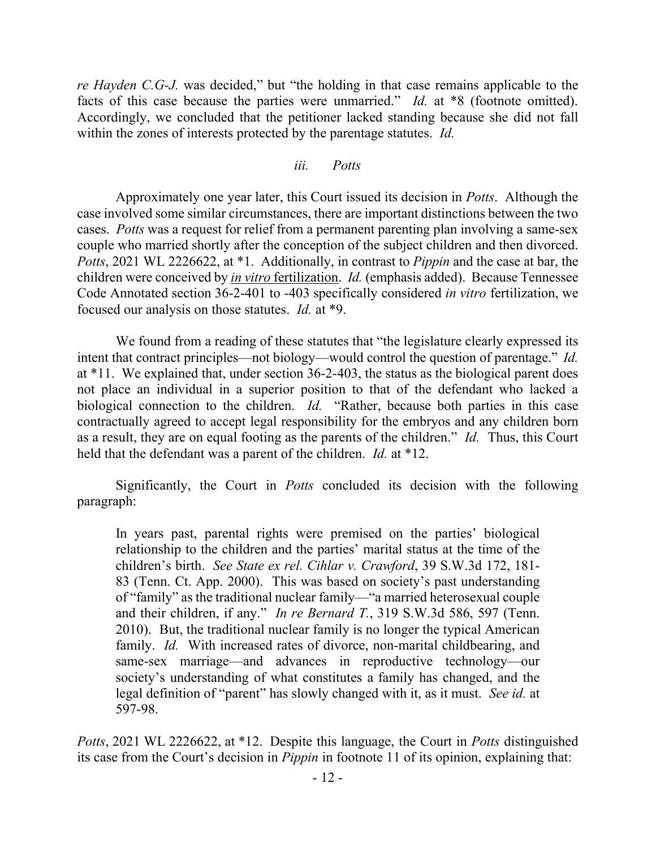*re Hayden C.G-J.* was decided," but "the holding in that case remains applicable to the facts of this case because the parties were unmarried." *Id.* at \*8 (footnote omitted). Accordingly, we concluded that the petitioner lacked standing because she did not fall within the zones of interests protected by the parentage statutes. *Id.*

### *iii. Potts*

Approximately one year later, this Court issued its decision in *Potts*. Although the case involved some similar circumstances, there are important distinctions between the two cases. *Potts* was a request for relief from a permanent parenting plan involving a same-sex couple who married shortly after the conception of the subject children and then divorced. *Potts*, 2021 WL 2226622, at \*1. Additionally, in contrast to *Pippin* and the case at bar, the children were conceived by *in vitro* fertilization. *Id.* (emphasis added). Because Tennessee Code Annotated section 36-2-401 to -403 specifically considered *in vitro* fertilization, we focused our analysis on those statutes. *Id.* at \*9.

We found from a reading of these statutes that "the legislature clearly expressed its intent that contract principles—not biology—would control the question of parentage." *Id.*  at \*11. We explained that, under section 36-2-403, the status as the biological parent does not place an individual in a superior position to that of the defendant who lacked a biological connection to the children. *Id.* "Rather, because both parties in this case contractually agreed to accept legal responsibility for the embryos and any children born as a result, they are on equal footing as the parents of the children." *Id.* Thus, this Court held that the defendant was a parent of the children. *Id.* at \*12.

Significantly, the Court in *Potts* concluded its decision with the following paragraph:

In years past, parental rights were premised on the parties' biological relationship to the children and the parties' marital status at the time of the children's birth. *See State ex rel. Cihlar v. Crawford*, 39 S.W.3d 172, 181- 83 (Tenn. Ct. App. 2000). This was based on society's past understanding of "family" as the traditional nuclear family—"a married heterosexual couple and their children, if any." *In re Bernard T.*, 319 S.W.3d 586, 597 (Tenn. 2010). But, the traditional nuclear family is no longer the typical American family. *Id.* With increased rates of divorce, non-marital childbearing, and same-sex marriage—and advances in reproductive technology—our society's understanding of what constitutes a family has changed, and the legal definition of "parent" has slowly changed with it, as it must. *See id.* at 597-98.

*Potts*, 2021 WL 2226622, at \*12. Despite this language, the Court in *Potts* distinguished its case from the Court's decision in *Pippin* in footnote 11 of its opinion, explaining that: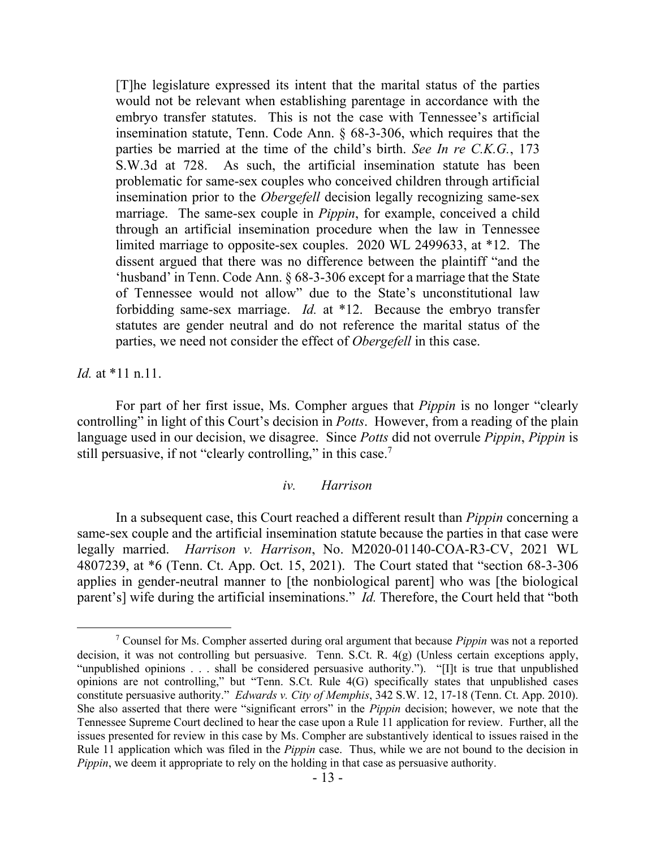[T]he legislature expressed its intent that the marital status of the parties would not be relevant when establishing parentage in accordance with the embryo transfer statutes. This is not the case with Tennessee's artificial insemination statute, Tenn. Code Ann. § 68-3-306, which requires that the parties be married at the time of the child's birth. *See In re C.K.G.*, 173 S.W.3d at 728. As such, the artificial insemination statute has been problematic for same-sex couples who conceived children through artificial insemination prior to the *Obergefell* decision legally recognizing same-sex marriage. The same-sex couple in *Pippin*, for example, conceived a child through an artificial insemination procedure when the law in Tennessee limited marriage to opposite-sex couples. 2020 WL 2499633, at \*12. The dissent argued that there was no difference between the plaintiff "and the 'husband' in Tenn. Code Ann. § 68-3-306 except for a marriage that the State of Tennessee would not allow" due to the State's unconstitutional law forbidding same-sex marriage. *Id.* at \*12. Because the embryo transfer statutes are gender neutral and do not reference the marital status of the parties, we need not consider the effect of *Obergefell* in this case.

*Id.* at \*11 n.11.

 $\overline{a}$ 

For part of her first issue, Ms. Compher argues that *Pippin* is no longer "clearly controlling" in light of this Court's decision in *Potts*. However, from a reading of the plain language used in our decision, we disagree. Since *Potts* did not overrule *Pippin*, *Pippin* is still persuasive, if not "clearly controlling," in this case.<sup>7</sup>

#### *iv. Harrison*

In a subsequent case, this Court reached a different result than *Pippin* concerning a same-sex couple and the artificial insemination statute because the parties in that case were legally married. *Harrison v. Harrison*, No. M2020-01140-COA-R3-CV, 2021 WL 4807239, at \*6 (Tenn. Ct. App. Oct. 15, 2021). The Court stated that "section 68-3-306 applies in gender-neutral manner to [the nonbiological parent] who was [the biological parent's] wife during the artificial inseminations." *Id.* Therefore, the Court held that "both"

<sup>7</sup> Counsel for Ms. Compher asserted during oral argument that because *Pippin* was not a reported decision, it was not controlling but persuasive. Tenn. S.Ct. R. 4(g) (Unless certain exceptions apply, "unpublished opinions . . . shall be considered persuasive authority."). "[I]t is true that unpublished opinions are not controlling," but "Tenn. S.Ct. Rule 4(G) specifically states that unpublished cases constitute persuasive authority." *Edwards v. City of Memphis*, 342 S.W. 12, 17-18 (Tenn. Ct. App. 2010). She also asserted that there were "significant errors" in the *Pippin* decision; however, we note that the Tennessee Supreme Court declined to hear the case upon a Rule 11 application for review. Further, all the issues presented for review in this case by Ms. Compher are substantively identical to issues raised in the Rule 11 application which was filed in the *Pippin* case. Thus, while we are not bound to the decision in *Pippin*, we deem it appropriate to rely on the holding in that case as persuasive authority.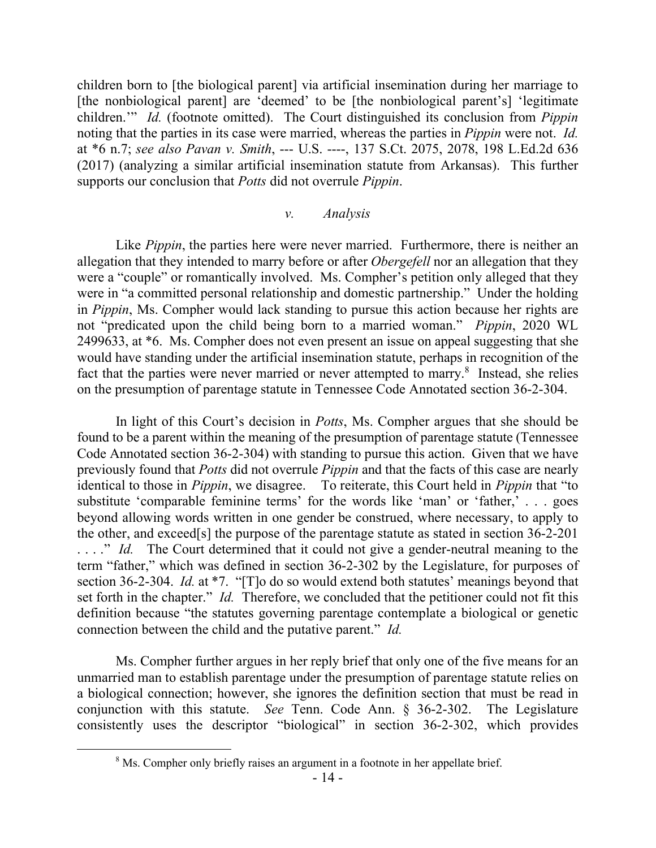children born to [the biological parent] via artificial insemination during her marriage to [the nonbiological parent] are 'deemed' to be [the nonbiological parent's] 'legitimate children.'" *Id.* (footnote omitted). The Court distinguished its conclusion from *Pippin* noting that the parties in its case were married, whereas the parties in *Pippin* were not. *Id.* at \*6 n.7; *see also Pavan v. Smith*, --- U.S. ----, 137 S.Ct. 2075, 2078, 198 L.Ed.2d 636 (2017) (analyzing a similar artificial insemination statute from Arkansas). This further supports our conclusion that *Potts* did not overrule *Pippin*.

### *v. Analysis*

Like *Pippin*, the parties here were never married. Furthermore, there is neither an allegation that they intended to marry before or after *Obergefell* nor an allegation that they were a "couple" or romantically involved. Ms. Compher's petition only alleged that they were in "a committed personal relationship and domestic partnership." Under the holding in *Pippin*, Ms. Compher would lack standing to pursue this action because her rights are not "predicated upon the child being born to a married woman." *Pippin*, 2020 WL 2499633, at \*6. Ms. Compher does not even present an issue on appeal suggesting that she would have standing under the artificial insemination statute, perhaps in recognition of the fact that the parties were never married or never attempted to marry.<sup>8</sup> Instead, she relies on the presumption of parentage statute in Tennessee Code Annotated section 36-2-304.

In light of this Court's decision in *Potts*, Ms. Compher argues that she should be found to be a parent within the meaning of the presumption of parentage statute (Tennessee Code Annotated section 36-2-304) with standing to pursue this action. Given that we have previously found that *Potts* did not overrule *Pippin* and that the facts of this case are nearly identical to those in *Pippin*, we disagree. To reiterate, this Court held in *Pippin* that "to substitute 'comparable feminine terms' for the words like 'man' or 'father,' . . . goes beyond allowing words written in one gender be construed, where necessary, to apply to the other, and exceed[s] the purpose of the parentage statute as stated in section 36-2-201 ...." *Id.* The Court determined that it could not give a gender-neutral meaning to the term "father," which was defined in section 36-2-302 by the Legislature, for purposes of section 36-2-304. *Id.* at \*7. "[T]o do so would extend both statutes' meanings beyond that set forth in the chapter." *Id.* Therefore, we concluded that the petitioner could not fit this definition because "the statutes governing parentage contemplate a biological or genetic connection between the child and the putative parent." *Id.* 

Ms. Compher further argues in her reply brief that only one of the five means for an unmarried man to establish parentage under the presumption of parentage statute relies on a biological connection; however, she ignores the definition section that must be read in conjunction with this statute. *See* Tenn. Code Ann. § 36-2-302. The Legislature consistently uses the descriptor "biological" in section 36-2-302, which provides

<sup>&</sup>lt;sup>8</sup> Ms. Compher only briefly raises an argument in a footnote in her appellate brief.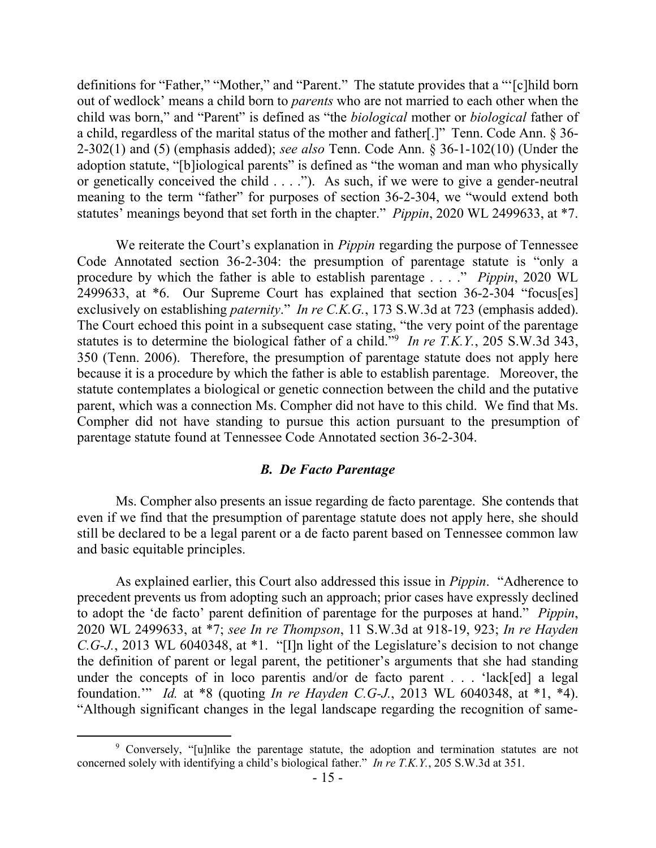definitions for "Father," "Mother," and "Parent." The statute provides that a "'[c]hild born out of wedlock' means a child born to *parents* who are not married to each other when the child was born," and "Parent" is defined as "the *biological* mother or *biological* father of a child, regardless of the marital status of the mother and father[.]" Tenn. Code Ann. § 36- 2-302(1) and (5) (emphasis added); *see also* Tenn. Code Ann. § 36-1-102(10) (Under the adoption statute, "[b]iological parents" is defined as "the woman and man who physically or genetically conceived the child . . . ."). As such, if we were to give a gender-neutral meaning to the term "father" for purposes of section 36-2-304, we "would extend both statutes' meanings beyond that set forth in the chapter." *Pippin*, 2020 WL 2499633, at \*7.

We reiterate the Court's explanation in *Pippin* regarding the purpose of Tennessee Code Annotated section 36-2-304: the presumption of parentage statute is "only a procedure by which the father is able to establish parentage . . . ." *Pippin*, 2020 WL 2499633, at \*6. Our Supreme Court has explained that section 36-2-304 "focus[es] exclusively on establishing *paternity*." *In re C.K.G.*, 173 S.W.3d at 723 (emphasis added). The Court echoed this point in a subsequent case stating, "the very point of the parentage statutes is to determine the biological father of a child."<sup>9</sup> *In re T.K.Y.*, 205 S.W.3d 343, 350 (Tenn. 2006). Therefore, the presumption of parentage statute does not apply here because it is a procedure by which the father is able to establish parentage. Moreover, the statute contemplates a biological or genetic connection between the child and the putative parent, which was a connection Ms. Compher did not have to this child. We find that Ms. Compher did not have standing to pursue this action pursuant to the presumption of parentage statute found at Tennessee Code Annotated section 36-2-304.

#### *B. De Facto Parentage*

Ms. Compher also presents an issue regarding de facto parentage. She contends that even if we find that the presumption of parentage statute does not apply here, she should still be declared to be a legal parent or a de facto parent based on Tennessee common law and basic equitable principles.

As explained earlier, this Court also addressed this issue in *Pippin*. "Adherence to precedent prevents us from adopting such an approach; prior cases have expressly declined to adopt the 'de facto' parent definition of parentage for the purposes at hand." *Pippin*, 2020 WL 2499633, at \*7; *see In re Thompson*, 11 S.W.3d at 918-19, 923; *In re Hayden C.G-J.*, 2013 WL 6040348, at \*1. "[I]n light of the Legislature's decision to not change the definition of parent or legal parent, the petitioner's arguments that she had standing under the concepts of in loco parentis and/or de facto parent . . . 'lack[ed] a legal foundation.'" *Id.* at \*8 (quoting *In re Hayden C.G-J.*, 2013 WL 6040348, at \*1, \*4). "Although significant changes in the legal landscape regarding the recognition of same-

<sup>9</sup> Conversely, "[u]nlike the parentage statute, the adoption and termination statutes are not concerned solely with identifying a child's biological father." *In re T.K.Y.*, 205 S.W.3d at 351.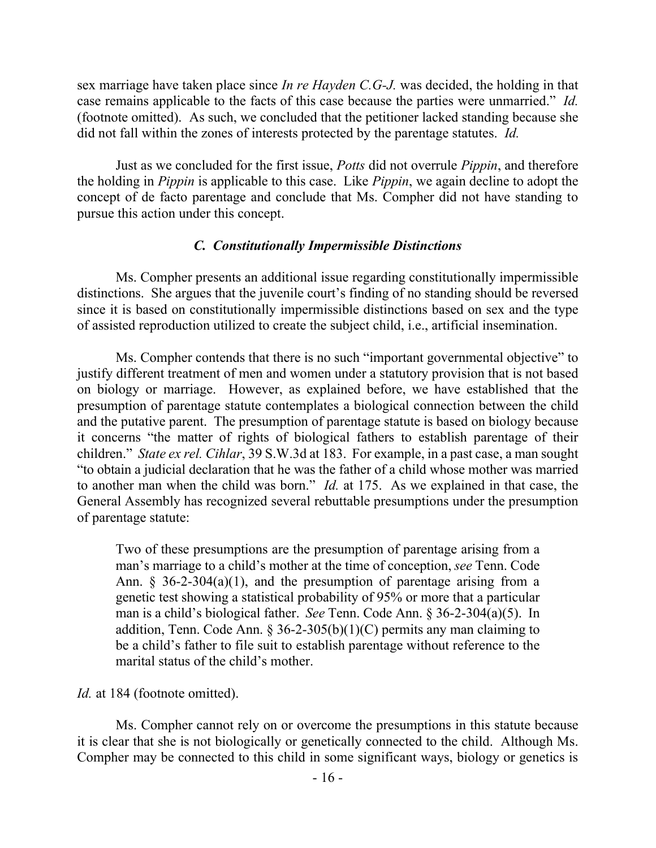sex marriage have taken place since *In re Hayden C.G-J.* was decided, the holding in that case remains applicable to the facts of this case because the parties were unmarried." *Id.* (footnote omitted). As such, we concluded that the petitioner lacked standing because she did not fall within the zones of interests protected by the parentage statutes. *Id.*

Just as we concluded for the first issue, *Potts* did not overrule *Pippin*, and therefore the holding in *Pippin* is applicable to this case. Like *Pippin*, we again decline to adopt the concept of de facto parentage and conclude that Ms. Compher did not have standing to pursue this action under this concept.

# *C. Constitutionally Impermissible Distinctions*

Ms. Compher presents an additional issue regarding constitutionally impermissible distinctions. She argues that the juvenile court's finding of no standing should be reversed since it is based on constitutionally impermissible distinctions based on sex and the type of assisted reproduction utilized to create the subject child, i.e., artificial insemination.

Ms. Compher contends that there is no such "important governmental objective" to justify different treatment of men and women under a statutory provision that is not based on biology or marriage. However, as explained before, we have established that the presumption of parentage statute contemplates a biological connection between the child and the putative parent. The presumption of parentage statute is based on biology because it concerns "the matter of rights of biological fathers to establish parentage of their children." *State ex rel. Cihlar*, 39 S.W.3d at 183. For example, in a past case, a man sought "to obtain a judicial declaration that he was the father of a child whose mother was married to another man when the child was born." *Id.* at 175. As we explained in that case, the General Assembly has recognized several rebuttable presumptions under the presumption of parentage statute:

Two of these presumptions are the presumption of parentage arising from a man's marriage to a child's mother at the time of conception, *see* Tenn. Code Ann.  $\S$  36-2-304(a)(1), and the presumption of parentage arising from a genetic test showing a statistical probability of 95% or more that a particular man is a child's biological father. *See* Tenn. Code Ann. § 36-2-304(a)(5). In addition, Tenn. Code Ann. § 36-2-305(b)(1)(C) permits any man claiming to be a child's father to file suit to establish parentage without reference to the marital status of the child's mother.

*Id.* at 184 (footnote omitted).

Ms. Compher cannot rely on or overcome the presumptions in this statute because it is clear that she is not biologically or genetically connected to the child. Although Ms. Compher may be connected to this child in some significant ways, biology or genetics is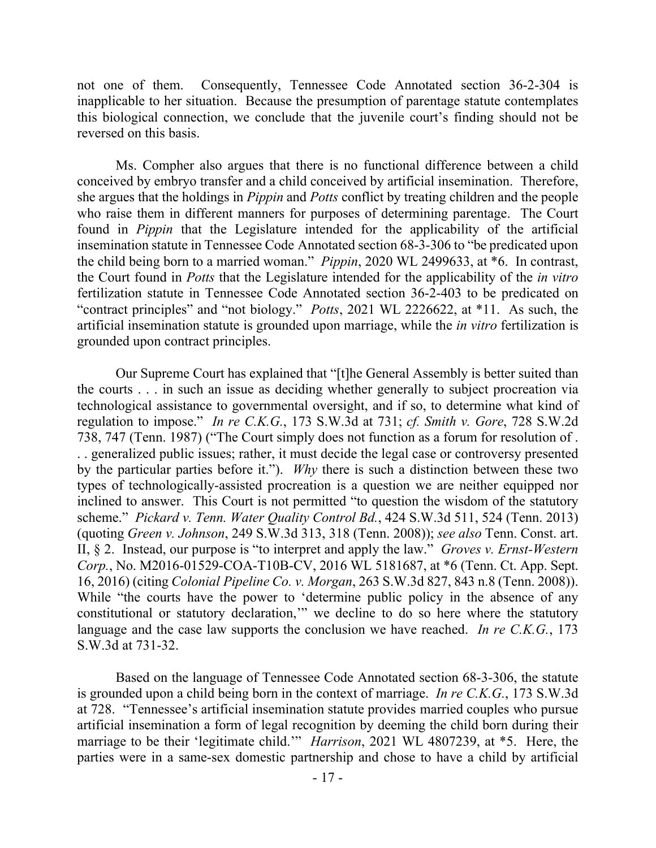not one of them. Consequently, Tennessee Code Annotated section 36-2-304 is inapplicable to her situation. Because the presumption of parentage statute contemplates this biological connection, we conclude that the juvenile court's finding should not be reversed on this basis.

Ms. Compher also argues that there is no functional difference between a child conceived by embryo transfer and a child conceived by artificial insemination. Therefore, she argues that the holdings in *Pippin* and *Potts* conflict by treating children and the people who raise them in different manners for purposes of determining parentage. The Court found in *Pippin* that the Legislature intended for the applicability of the artificial insemination statute in Tennessee Code Annotated section 68-3-306 to "be predicated upon the child being born to a married woman." *Pippin*, 2020 WL 2499633, at \*6. In contrast, the Court found in *Potts* that the Legislature intended for the applicability of the *in vitro* fertilization statute in Tennessee Code Annotated section 36-2-403 to be predicated on "contract principles" and "not biology." *Potts*, 2021 WL 2226622, at \*11. As such, the artificial insemination statute is grounded upon marriage, while the *in vitro* fertilization is grounded upon contract principles.

Our Supreme Court has explained that "[t]he General Assembly is better suited than the courts . . . in such an issue as deciding whether generally to subject procreation via technological assistance to governmental oversight, and if so, to determine what kind of regulation to impose." *In re C.K.G.*, 173 S.W.3d at 731; *cf. Smith v. Gore*, 728 S.W.2d 738, 747 (Tenn. 1987) ("The Court simply does not function as a forum for resolution of . . . generalized public issues; rather, it must decide the legal case or controversy presented by the particular parties before it."). *Why* there is such a distinction between these two types of technologically-assisted procreation is a question we are neither equipped nor inclined to answer. This Court is not permitted "to question the wisdom of the statutory scheme." *Pickard v. Tenn. Water Quality Control Bd.*, 424 S.W.3d 511, 524 (Tenn. 2013) (quoting *Green v. Johnson*, 249 S.W.3d 313, 318 (Tenn. 2008)); *see also* Tenn. Const. art. II, § 2. Instead, our purpose is "to interpret and apply the law." *Groves v. Ernst-Western Corp.*, No. M2016-01529-COA-T10B-CV, 2016 WL 5181687, at \*6 (Tenn. Ct. App. Sept. 16, 2016) (citing *Colonial Pipeline Co. v. Morgan*, 263 S.W.3d 827, 843 n.8 (Tenn. 2008)). While "the courts have the power to 'determine public policy in the absence of any constitutional or statutory declaration,'" we decline to do so here where the statutory language and the case law supports the conclusion we have reached. *In re C.K.G.*, 173 S.W.3d at 731-32.

Based on the language of Tennessee Code Annotated section 68-3-306, the statute is grounded upon a child being born in the context of marriage. *In re C.K.G.*, 173 S.W.3d at 728. "Tennessee's artificial insemination statute provides married couples who pursue artificial insemination a form of legal recognition by deeming the child born during their marriage to be their 'legitimate child.'" *Harrison*, 2021 WL 4807239, at \*5. Here, the parties were in a same-sex domestic partnership and chose to have a child by artificial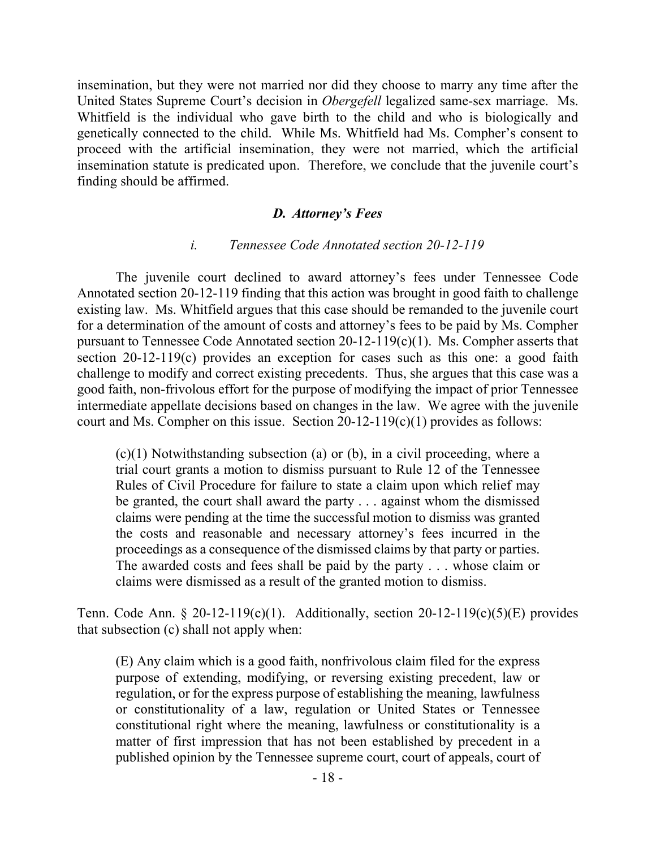insemination, but they were not married nor did they choose to marry any time after the United States Supreme Court's decision in *Obergefell* legalized same-sex marriage. Ms. Whitfield is the individual who gave birth to the child and who is biologically and genetically connected to the child. While Ms. Whitfield had Ms. Compher's consent to proceed with the artificial insemination, they were not married, which the artificial insemination statute is predicated upon. Therefore, we conclude that the juvenile court's finding should be affirmed.

### *D. Attorney's Fees*

#### *i. Tennessee Code Annotated section 20-12-119*

The juvenile court declined to award attorney's fees under Tennessee Code Annotated section 20-12-119 finding that this action was brought in good faith to challenge existing law. Ms. Whitfield argues that this case should be remanded to the juvenile court for a determination of the amount of costs and attorney's fees to be paid by Ms. Compher pursuant to Tennessee Code Annotated section 20-12-119(c)(1). Ms. Compher asserts that section 20-12-119(c) provides an exception for cases such as this one: a good faith challenge to modify and correct existing precedents. Thus, she argues that this case was a good faith, non-frivolous effort for the purpose of modifying the impact of prior Tennessee intermediate appellate decisions based on changes in the law. We agree with the juvenile court and Ms. Compher on this issue. Section 20-12-119(c)(1) provides as follows:

(c)(1) Notwithstanding subsection (a) or (b), in a civil proceeding, where a trial court grants a motion to dismiss pursuant to Rule 12 of the Tennessee Rules of Civil Procedure for failure to state a claim upon which relief may be granted, the court shall award the party . . . against whom the dismissed claims were pending at the time the successful motion to dismiss was granted the costs and reasonable and necessary attorney's fees incurred in the proceedings as a consequence of the dismissed claims by that party or parties. The awarded costs and fees shall be paid by the party . . . whose claim or claims were dismissed as a result of the granted motion to dismiss.

Tenn. Code Ann. § 20-12-119(c)(1). Additionally, section 20-12-119(c)(5)(E) provides that subsection (c) shall not apply when:

(E) Any claim which is a good faith, nonfrivolous claim filed for the express purpose of extending, modifying, or reversing existing precedent, law or regulation, or for the express purpose of establishing the meaning, lawfulness or constitutionality of a law, regulation or United States or Tennessee constitutional right where the meaning, lawfulness or constitutionality is a matter of first impression that has not been established by precedent in a published opinion by the Tennessee supreme court, court of appeals, court of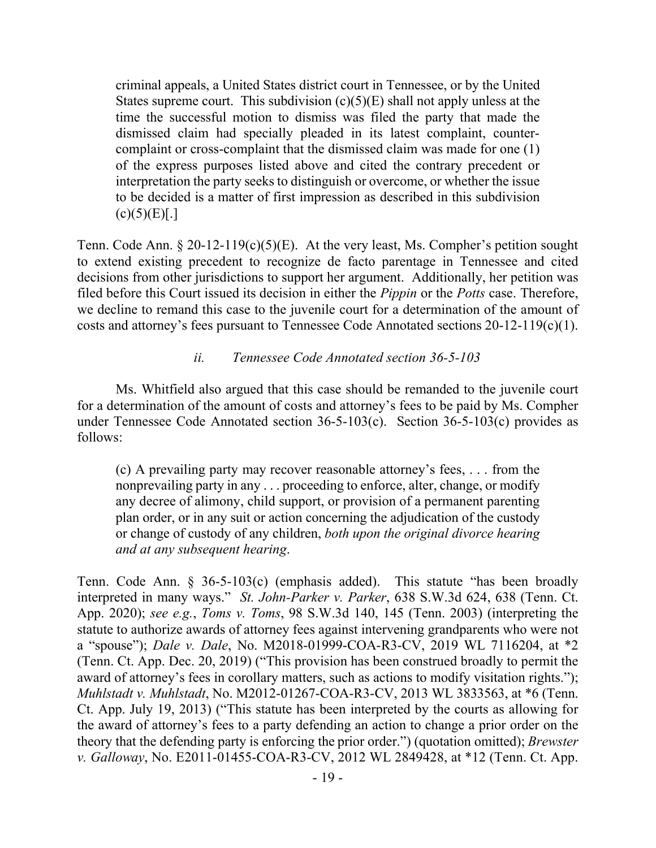criminal appeals, a United States district court in Tennessee, or by the United States supreme court. This subdivision  $(c)(5)(E)$  shall not apply unless at the time the successful motion to dismiss was filed the party that made the dismissed claim had specially pleaded in its latest complaint, countercomplaint or cross-complaint that the dismissed claim was made for one (1) of the express purposes listed above and cited the contrary precedent or interpretation the party seeks to distinguish or overcome, or whether the issue to be decided is a matter of first impression as described in this subdivision  $(c)(5)(E)$ [.]

Tenn. Code Ann. § 20-12-119(c)(5)(E). At the very least, Ms. Compher's petition sought to extend existing precedent to recognize de facto parentage in Tennessee and cited decisions from other jurisdictions to support her argument. Additionally, her petition was filed before this Court issued its decision in either the *Pippin* or the *Potts* case. Therefore, we decline to remand this case to the juvenile court for a determination of the amount of costs and attorney's fees pursuant to Tennessee Code Annotated sections 20-12-119(c)(1).

# *ii. Tennessee Code Annotated section 36-5-103*

Ms. Whitfield also argued that this case should be remanded to the juvenile court for a determination of the amount of costs and attorney's fees to be paid by Ms. Compher under Tennessee Code Annotated section 36-5-103(c). Section 36-5-103(c) provides as follows:

(c) A prevailing party may recover reasonable attorney's fees, . . . from the nonprevailing party in any . . . proceeding to enforce, alter, change, or modify any decree of alimony, child support, or provision of a permanent parenting plan order, or in any suit or action concerning the adjudication of the custody or change of custody of any children, *both upon the original divorce hearing and at any subsequent hearing*.

Tenn. Code Ann. § 36-5-103(c) (emphasis added). This statute "has been broadly interpreted in many ways." *St. John-Parker v. Parker*, 638 S.W.3d 624, 638 (Tenn. Ct. App. 2020); *see e.g.*, *Toms v. Toms*, 98 S.W.3d 140, 145 (Tenn. 2003) (interpreting the statute to authorize awards of attorney fees against intervening grandparents who were not a "spouse"); *Dale v. Dale*, No. M2018-01999-COA-R3-CV, 2019 WL 7116204, at \*2 (Tenn. Ct. App. Dec. 20, 2019) ("This provision has been construed broadly to permit the award of attorney's fees in corollary matters, such as actions to modify visitation rights."); *Muhlstadt v. Muhlstadt*, No. M2012-01267-COA-R3-CV, 2013 WL 3833563, at \*6 (Tenn. Ct. App. July 19, 2013) ("This statute has been interpreted by the courts as allowing for the award of attorney's fees to a party defending an action to change a prior order on the theory that the defending party is enforcing the prior order.") (quotation omitted); *Brewster v. Galloway*, No. E2011-01455-COA-R3-CV, 2012 WL 2849428, at \*12 (Tenn. Ct. App.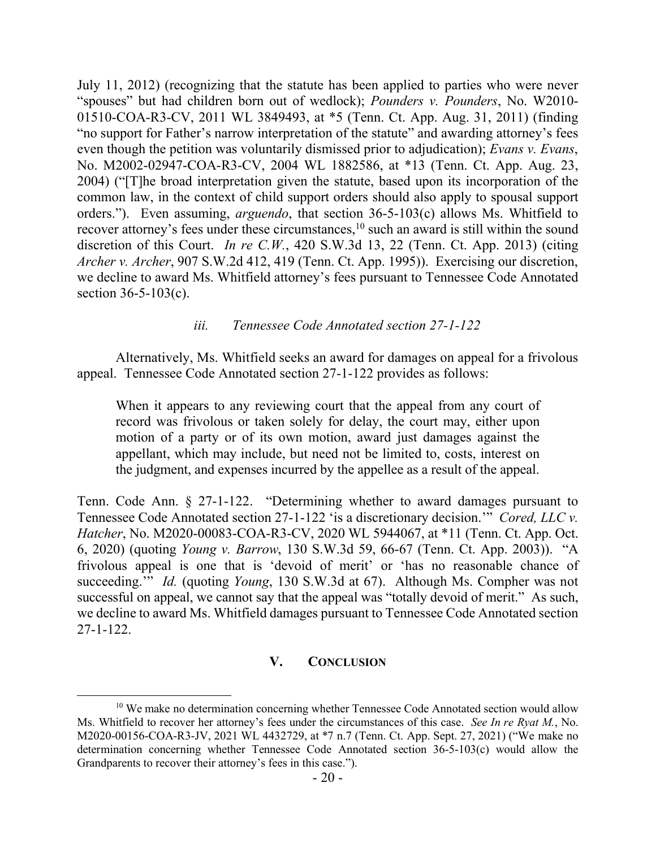July 11, 2012) (recognizing that the statute has been applied to parties who were never "spouses" but had children born out of wedlock); *Pounders v. Pounders*, No. W2010- 01510-COA-R3-CV, 2011 WL 3849493, at \*5 (Tenn. Ct. App. Aug. 31, 2011) (finding "no support for Father's narrow interpretation of the statute" and awarding attorney's fees even though the petition was voluntarily dismissed prior to adjudication); *Evans v. Evans*, No. M2002-02947-COA-R3-CV, 2004 WL 1882586, at \*13 (Tenn. Ct. App. Aug. 23, 2004) ("[T]he broad interpretation given the statute, based upon its incorporation of the common law, in the context of child support orders should also apply to spousal support orders."). Even assuming, *arguendo*, that section 36-5-103(c) allows Ms. Whitfield to recover attorney's fees under these circumstances,<sup>10</sup> such an award is still within the sound discretion of this Court. *In re C.W.*, 420 S.W.3d 13, 22 (Tenn. Ct. App. 2013) (citing *Archer v. Archer*, 907 S.W.2d 412, 419 (Tenn. Ct. App. 1995)). Exercising our discretion, we decline to award Ms. Whitfield attorney's fees pursuant to Tennessee Code Annotated section 36-5-103(c).

*iii. Tennessee Code Annotated section 27-1-122*

Alternatively, Ms. Whitfield seeks an award for damages on appeal for a frivolous appeal. Tennessee Code Annotated section 27-1-122 provides as follows:

When it appears to any reviewing court that the appeal from any court of record was frivolous or taken solely for delay, the court may, either upon motion of a party or of its own motion, award just damages against the appellant, which may include, but need not be limited to, costs, interest on the judgment, and expenses incurred by the appellee as a result of the appeal.

Tenn. Code Ann. § 27-1-122. "Determining whether to award damages pursuant to Tennessee Code Annotated section 27-1-122 'is a discretionary decision.'" *Cored, LLC v. Hatcher*, No. M2020-00083-COA-R3-CV, 2020 WL 5944067, at \*11 (Tenn. Ct. App. Oct. 6, 2020) (quoting *Young v. Barrow*, 130 S.W.3d 59, 66-67 (Tenn. Ct. App. 2003)). "A frivolous appeal is one that is 'devoid of merit' or 'has no reasonable chance of succeeding.'" *Id.* (quoting *Young*, 130 S.W.3d at 67). Although Ms. Compher was not successful on appeal, we cannot say that the appeal was "totally devoid of merit." As such, we decline to award Ms. Whitfield damages pursuant to Tennessee Code Annotated section 27-1-122.

## **V. CONCLUSION**

 $10$  We make no determination concerning whether Tennessee Code Annotated section would allow Ms. Whitfield to recover her attorney's fees under the circumstances of this case. *See In re Ryat M.*, No. M2020-00156-COA-R3-JV, 2021 WL 4432729, at \*7 n.7 (Tenn. Ct. App. Sept. 27, 2021) ("We make no determination concerning whether Tennessee Code Annotated section 36-5-103(c) would allow the Grandparents to recover their attorney's fees in this case.").